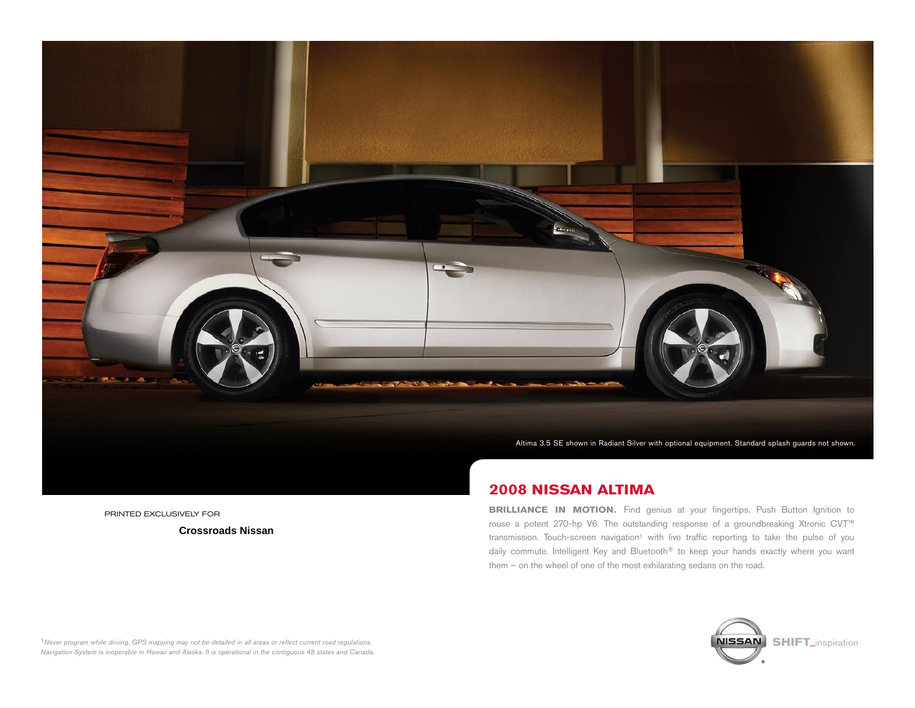

printed Exclusively for

 **Crossroads Nissan**

# **2008 Nissan altima**

**BRILLIANCE IN MOTION.** Find genius at your fingertips. Push Button Ignition to rouse a potent 270-hp V6. The outstanding response of a groundbreaking Xtronic CVT™ transmission. Touch-screen navigation<sup>1</sup> with live traffic reporting to take the pulse of you daily commute. Intelligent Key and Bluetooth® to keep your hands exactly where you want them – on the wheel of one of the most exhilarating sedans on the road.



<sup>1</sup>Never program while driving. GPS mapping may not be detailed in all areas or reflect current road regulations. *Navigation System is inoperable in Hawaii and Alaska. It is operational in the contiguous 48 states and Canada.*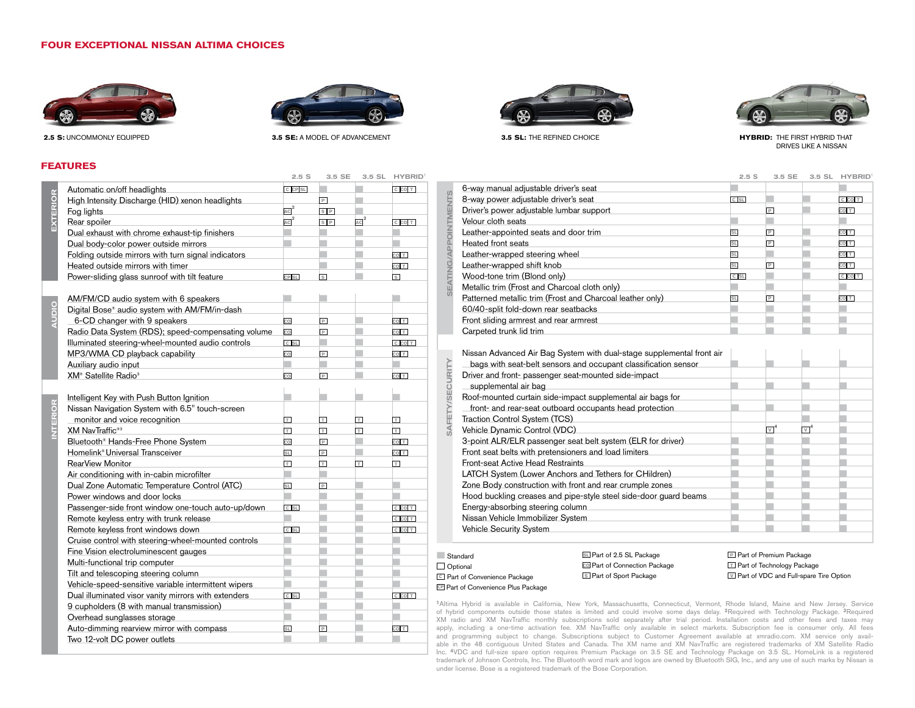## **FOUR EXCEPTIONAL NISSAN ALTIMA CHOICES**





35 SECE SECILLYPOIN

**2.5 S:** Uncommonly equipped **3.5 SE:** A model of advancement **3.5 SL:** The refined choice

## **FEATURES**

|                 | Automatic on/off headlights                          | C CP SL          |                         |                | C CO T                  |
|-----------------|------------------------------------------------------|------------------|-------------------------|----------------|-------------------------|
| EXTERIOR        | High Intensity Discharge (HID) xenon headlights      |                  | $\boxed{P}$             |                |                         |
|                 | Fog lights                                           | $AC^2$           | $S$ $P$                 |                |                         |
|                 | Rear spoiler                                         | $AC^2$           | S[P]                    | $AC^2$         | C CO T                  |
|                 | Dual exhaust with chrome exhaust-tip finishers       |                  |                         |                |                         |
|                 | Dual body-color power outside mirrors                |                  |                         |                |                         |
|                 | Folding outside mirrors with turn signal indicators  |                  |                         |                | CO <sub>T</sub>         |
|                 | Heated outside mirrors with timer                    |                  |                         |                | CO <sub>T</sub>         |
|                 | Power-sliding glass sunroof with tilt feature        | CP <sub>SL</sub> | $\vert s \vert$         |                | $\overline{s}$          |
|                 |                                                      |                  |                         |                |                         |
| <b>AUDIO</b>    | AM/FM/CD audio system with 6 speakers                |                  |                         |                |                         |
|                 | Digital Bose® audio system with AM/FM/in-dash        |                  |                         |                |                         |
|                 | 6-CD changer with 9 speakers                         | co               | $\overline{P}$          |                | CO <sub>T</sub>         |
|                 | Radio Data System (RDS); speed-compensating volume   | co               | $\overline{P}$          |                | CO <sub>T</sub>         |
|                 | Illuminated steering-wheel-mounted audio controls    | C SL             |                         |                | C CO T                  |
|                 | MP3/WMA CD playback capability                       | co               | $\overline{P}$          |                | CO <sub>T</sub>         |
|                 | Auxiliary audio input                                |                  |                         |                |                         |
|                 | XM <sup>®</sup> Satellite Radio <sup>3</sup>         | co               | P                       |                | CO <sub>T</sub>         |
|                 |                                                      |                  |                         |                |                         |
|                 | Intelligent Key with Push Button Ignition            |                  |                         |                |                         |
| <b>INTERIOR</b> | Nissan Navigation System with 6.5" touch-screen      |                  |                         |                |                         |
|                 | monitor and voice recognition                        | $\top$           | T                       | $\top$         | $\top$                  |
|                 | XM NavTraffic <sup>®3</sup>                          | T                | $\overline{\mathbf{r}}$ | $\overline{+}$ | $\overline{\mathbf{r}}$ |
|                 | Bluetooth® Hands-Free Phone System                   | co               | $\,$ P                  |                | CO <sub>T</sub>         |
|                 | Homelink <sup>®</sup> Universal Transceiver          | <b>SL</b>        | $\boxed{P}$             |                | CO <sub>T</sub>         |
|                 | <b>RearView Monitor</b>                              | T                | $\Box$                  | Ħ              | Ħ                       |
|                 | Air conditioning with in-cabin microfilter           |                  |                         |                |                         |
|                 | Dual Zone Automatic Temperature Control (ATC)        | <b>SL</b>        | $\boxed{P}$             |                |                         |
|                 | Power windows and door locks                         |                  |                         |                |                         |
|                 | Passenger-side front window one-touch auto-up/down   | C SL             |                         |                | C CO T                  |
|                 | Remote keyless entry with trunk release              |                  |                         |                | C CO T                  |
|                 | Remote keyless front windows down                    | $C$ SL           |                         |                | C CO T                  |
|                 | Cruise control with steering-wheel-mounted controls  |                  |                         |                |                         |
|                 | Fine Vision electroluminescent gauges                | ۳                |                         |                |                         |
|                 | Multi-functional trip computer                       |                  |                         |                |                         |
|                 | Tilt and telescoping steering column                 |                  |                         |                |                         |
|                 | Vehicle-speed-sensitive variable intermittent wipers |                  |                         |                |                         |
|                 | Dual illuminated visor vanity mirrors with extenders | $c$ sL           |                         |                | C CO T                  |
|                 | 9 cupholders (8 with manual transmission)            |                  |                         |                |                         |
|                 | Overhead sunglasses storage                          |                  |                         |                |                         |
|                 | Auto-dimming rearview mirror with compass            | <b>SL</b>        | $\overline{P}$          |                | CO <sub>T</sub>         |
|                 | Two 12-volt DC power outlets                         |                  |                         |                |                         |
|                 |                                                      |                  |                         |                |                         |





**HYBRID:** the first hybrid that drives like a nissan

|                                                                                                                                                                                                                                                                                                                                                                                                                                                                                                                                                                                                                                                                                                                                                                                                                                                   | 2.5S      | 3.5 SE         | 3.5 SL | <b>HYBRID</b>   |
|---------------------------------------------------------------------------------------------------------------------------------------------------------------------------------------------------------------------------------------------------------------------------------------------------------------------------------------------------------------------------------------------------------------------------------------------------------------------------------------------------------------------------------------------------------------------------------------------------------------------------------------------------------------------------------------------------------------------------------------------------------------------------------------------------------------------------------------------------|-----------|----------------|--------|-----------------|
| 6-way manual adjustable driver's seat                                                                                                                                                                                                                                                                                                                                                                                                                                                                                                                                                                                                                                                                                                                                                                                                             |           |                |        |                 |
| 8-way power adjustable driver's seat                                                                                                                                                                                                                                                                                                                                                                                                                                                                                                                                                                                                                                                                                                                                                                                                              | C SL      |                |        | C CO T          |
| Driver's power adjustable lumbar support                                                                                                                                                                                                                                                                                                                                                                                                                                                                                                                                                                                                                                                                                                                                                                                                          |           | P              |        | CO <sub>T</sub> |
| Velour cloth seats                                                                                                                                                                                                                                                                                                                                                                                                                                                                                                                                                                                                                                                                                                                                                                                                                                |           |                |        |                 |
| Leather-appointed seats and door trim                                                                                                                                                                                                                                                                                                                                                                                                                                                                                                                                                                                                                                                                                                                                                                                                             | <b>SL</b> | $\overline{P}$ |        | CO <sub>T</sub> |
| Heated front seats                                                                                                                                                                                                                                                                                                                                                                                                                                                                                                                                                                                                                                                                                                                                                                                                                                | SL        | P              |        | CO <sub>T</sub> |
| Leather-wrapped steering wheel                                                                                                                                                                                                                                                                                                                                                                                                                                                                                                                                                                                                                                                                                                                                                                                                                    | SL        |                |        | CO <sub>T</sub> |
| Leather-wrapped shift knob                                                                                                                                                                                                                                                                                                                                                                                                                                                                                                                                                                                                                                                                                                                                                                                                                        | SL        | $\overline{P}$ |        | CO <sub>T</sub> |
| Wood-tone trim (Blond only)                                                                                                                                                                                                                                                                                                                                                                                                                                                                                                                                                                                                                                                                                                                                                                                                                       | C SL      |                |        | C CO T          |
| Metallic trim (Frost and Charcoal cloth only)                                                                                                                                                                                                                                                                                                                                                                                                                                                                                                                                                                                                                                                                                                                                                                                                     |           |                |        |                 |
| Patterned metallic trim (Frost and Charcoal leather only)                                                                                                                                                                                                                                                                                                                                                                                                                                                                                                                                                                                                                                                                                                                                                                                         | <b>SL</b> | P              |        | CO <sub>T</sub> |
| 60/40-split fold-down rear seatbacks                                                                                                                                                                                                                                                                                                                                                                                                                                                                                                                                                                                                                                                                                                                                                                                                              |           |                |        |                 |
| Front sliding armrest and rear armrest                                                                                                                                                                                                                                                                                                                                                                                                                                                                                                                                                                                                                                                                                                                                                                                                            |           |                |        |                 |
| Carpeted trunk lid trim                                                                                                                                                                                                                                                                                                                                                                                                                                                                                                                                                                                                                                                                                                                                                                                                                           |           |                |        |                 |
| Nissan Advanced Air Bag System with dual-stage supplemental front air<br>bags with seat-belt sensors and occupant classification sensor<br>Driver and front- passenger seat-mounted side-impact<br>supplemental air bag<br>Roof-mounted curtain side-impact supplemental air bags for<br>front- and rear-seat outboard occupants head protection<br>Traction Control System (TCS)<br>Vehicle Dynamic Control (VDC)<br>3-point ALR/ELR passenger seat belt system (ELR for driver)<br>Front seat belts with pretensioners and load limiters<br>Front-seat Active Head Restraints<br>LATCH System (Lower Anchors and Tethers for CHildren)<br>Zone Body construction with front and rear crumple zones<br>Hood buckling creases and pipe-style steel side-door guard beams<br>Energy-absorbing steering column<br>Nissan Vehicle Immobilizer System |           | $\overline{V}$ | VΪ     |                 |
| <b>Vehicle Security System</b>                                                                                                                                                                                                                                                                                                                                                                                                                                                                                                                                                                                                                                                                                                                                                                                                                    |           |                |        |                 |
|                                                                                                                                                                                                                                                                                                                                                                                                                                                                                                                                                                                                                                                                                                                                                                                                                                                   |           |                |        |                 |

#### ■ Standard  $\Box$  Optional **<sup>C</sup>** Part of Convenience Package

seating/appointments

**SEATING/APPOINTMENTS** 

safety/security

SAFETY/SECURITY

**CP** Part of Convenience Plus Package

#### **SL** Part of 2.5 SL Package **CO** Part of Connection Package **<sup>S</sup>** Part of Sport Package

**<sup>P</sup>** Part of Premium Package **<sup>T</sup>** Part of Technology Package **<sup>V</sup>** Part of VDC and Full-spare Tire Option

**<sup>1</sup>**Altima Hybrid is available in California, New York, Massachusetts, Connecticut, Vermont, Rhode Island, Maine and New Jersey. Service of hybrid components outside those states is limited and could involve some days delay. **2**Required with Technology Package. **3**Required XM radio and XM NavTraffic monthly subscriptions sold separately after trial period. Installation costs and other fees and taxes may apply, including a one-time activation fee. XM NavTraffic only available in select markets. Subscription fee is consumer only. All fees<br>and programming subject to change. Subscriptions subject to Customer Agreement availab able in the 48 contiguous United States and Canada. The XM name and XM NavTraffic are registered trademarks of XM Satellite Radio Inc. **4**VDC and full-size spare option requires Premium Package on 3.5 SE and Technology Package on 3.5 SL. HomeLink is a registered trademark of Johnson Controls, Inc. The Bluetooth word mark and logos are owned by Bluetooth SIG, Inc., and any use of such marks by Nissan is under license. Bose is a registered trademark of the Bose Corporation.